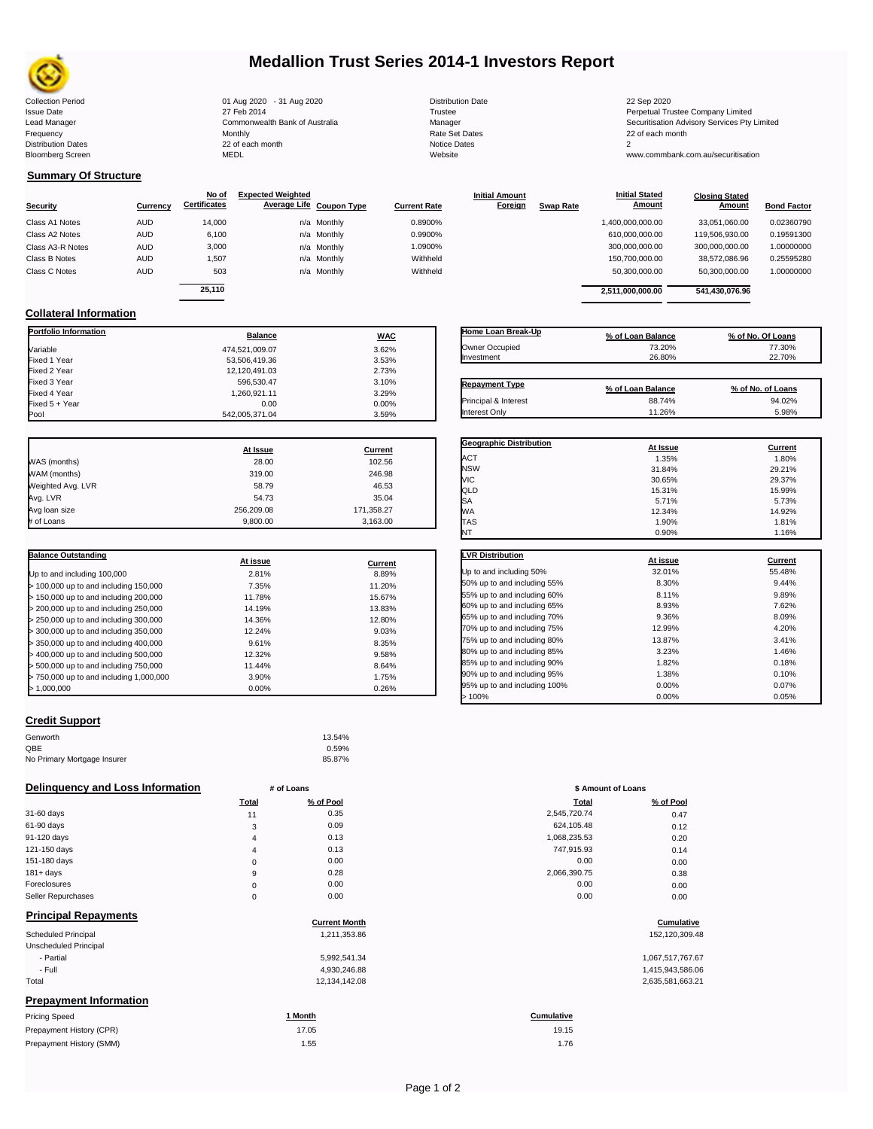

# **Medallion Trust Series 2014-1 Investors Report**

| <b>Distribution Date</b> |
|--------------------------|
| Trustee                  |
| Manager                  |
| <b>Rate Set Dates</b>    |
| Notice Dates             |
| Website                  |
|                          |

**Closing Stated Amount**

## **Summary Of Structure**

**Collateral Information**

|                  |            | No of               | <b>Expected Weighted</b> |                     | <b>Initial Amount</b> |                  | <b>Initial Stated</b> | <b>Closing Stated</b> |                    |
|------------------|------------|---------------------|--------------------------|---------------------|-----------------------|------------------|-----------------------|-----------------------|--------------------|
| <b>Security</b>  | Currency   | <b>Certificates</b> | Average Life Coupon Type | <b>Current Rate</b> | Foreign               | <b>Swap Rate</b> | <b>Amount</b>         | Amount                | <b>Bond Factor</b> |
| Class A1 Notes   | <b>AUD</b> | 14.000              | n/a Monthly              | 0.8900%             |                       |                  | 1,400,000,000.00      | 33.051.060.00         | 0.02360790         |
| Class A2 Notes   | <b>AUD</b> | 6,100               | n/a Monthly              | 0.9900%             |                       |                  | 610,000,000.00        | 119.506.930.00        | 0.19591300         |
| Class A3-R Notes | <b>AUD</b> | 3,000               | n/a Monthly              | 1.0900%             |                       |                  | 300,000,000.00        | 300,000,000.00        | 1.00000000         |
| Class B Notes    | <b>AUD</b> | 1.507               | n/a Monthly              | Withheld            |                       |                  | 150.700.000.00        | 38.572.086.96         | 0.25595280         |
| Class C Notes    | <b>AUD</b> | 503                 | n/a Monthly              | Withheld            |                       |                  | 50,300,000.00         | 50,300,000.00         | 1.00000000         |
|                  |            | 25.110              |                          |                     |                       |                  | 2,511,000,000.00      | 541.430.076.96        |                    |

**Portfolio Information Balance WAC** Variable 3.62% Fixed 1 Year 3.53% Fixed 2 Year 12,120,491.03 2.73% Fixed 3 Year 596,530.47 3.10% Fixed 4 Year 1,260,921.11 3.29% Fixed 5 + Year 0.00 0.00%

| Home Loan Break-Up    | % of Loan Balance | % of No. Of Loans |
|-----------------------|-------------------|-------------------|
| Owner Occupied        | 73.20%            | 77.30%            |
| Investment            | 26.80%            | 22.70%            |
|                       |                   |                   |
| <b>Repayment Type</b> | % of Loan Balance | % of No. of Loans |
| Principal & Interest  | 88.74%            | 94.02%            |
| Interest Only         | 11.26%            | 5.98%             |

**Geographic Distribution**<br> **ACT ACT ACT ACT ACT ACT ACT ACT ACT ACT ACT ACT ACT ACT ACT ACT ACT ACT ACT ACT ACT ACT** ACT 1.35% 1.80%

**Initial Stated** 

|                   | At Issue   | Current    |
|-------------------|------------|------------|
| WAS (months)      | 28.00      | 102.56     |
| WAM (months)      | 319.00     | 246.98     |
| Weighted Avg. LVR | 58.79      | 46.53      |
| Avg. LVR          | 54.73      | 35.04      |
| Avg loan size     | 256.209.08 | 171,358.27 |
| # of Loans        | 9.800.00   | 3.163.00   |

542,005,371.04

| <b>Balance Outstanding</b>              | At issue | Current |
|-----------------------------------------|----------|---------|
| Up to and including 100,000             | 2.81%    | 8.89%   |
| $>$ 100,000 up to and including 150,000 | 7.35%    | 11.20%  |
| $>$ 150,000 up to and including 200,000 | 11.78%   | 15.67%  |
| > 200,000 up to and including 250,000   | 14.19%   | 13.83%  |
| > 250,000 up to and including 300,000   | 14.36%   | 12.80%  |
| > 300,000 up to and including 350,000   | 12.24%   | 9.03%   |
| > 350,000 up to and including 400,000   | 9.61%    | 8.35%   |
| > 400,000 up to and including 500,000   | 12.32%   | 9.58%   |
| > 500,000 up to and including 750,000   | 11.44%   | 8.64%   |
| > 750,000 up to and including 1,000,000 | 3.90%    | 1.75%   |
| > 1.000.000                             | 0.00%    | 0.26%   |

| <b>Credit Support</b> |  |
|-----------------------|--|
|                       |  |

| Genworth                    | 13.54% |
|-----------------------------|--------|
| QBE                         | 0.59%  |
| No Primary Mortgage Insurer | 85.87% |

### **Delinquency and Loss Information # of Loans**

|                |                      | w Annound or Lound |                  |
|----------------|----------------------|--------------------|------------------|
| Total          | % of Pool            | Total              | % of Pool        |
| 11             | 0.35                 | 2,545,720.74       | 0.47             |
| 3              | 0.09                 | 624,105.48         | 0.12             |
| 4              | 0.13                 | 1,068,235.53       | 0.20             |
| $\overline{4}$ | 0.13                 | 747,915.93         | 0.14             |
| 0              | 0.00                 | 0.00               | 0.00             |
| 9              | 0.28                 | 2,066,390.75       | 0.38             |
| 0              | 0.00                 | 0.00               | 0.00             |
| 0              | 0.00                 | 0.00               | 0.00             |
|                | <b>Current Month</b> |                    | Cumulative       |
|                | 1,211,353.86         |                    | 152,120,309.48   |
|                |                      |                    |                  |
|                | 5,992,541.34         |                    | 1,067,517,767.67 |
|                | 4,930,246.88         |                    | 1,415,943,586.06 |
|                | 12,134,142.08        |                    | 2,635,581,663.21 |
|                |                      |                    |                  |
|                | 1 Month              | <b>Cumulative</b>  |                  |
|                | 17.05                | 19.15              |                  |
|                | 1.55                 | 1.76               |                  |
|                |                      | $\pi$ vi Lvano     |                  |

| <b>NSW</b>                   | 31.84%   | 29.21%         |
|------------------------------|----------|----------------|
| <b>VIC</b>                   | 30.65%   | 29.37%         |
| QLD                          | 15.31%   | 15.99%         |
| SА                           | 5.71%    | 5.73%          |
| WА                           | 12.34%   | 14.92%         |
| TAS                          | 1.90%    | 1.81%          |
| NT                           | 0.90%    | 1.16%          |
| <b>LVR Distribution</b>      | At issue | <b>Current</b> |
| Up to and including 50%      | 32.01%   | 55.48%         |
| 50% up to and including 55%  | 8.30%    | 9.44%          |
| 55% up to and including 60%  | 8.11%    | 9.89%          |
| 60% up to and including 65%  | 8.93%    | 7.62%          |
| 65% up to and including 70%  | 9.36%    | 8.09%          |
| 70% up to and including 75%  | 12.99%   | 4.20%          |
| 75% up to and including 80%  | 13.87%   | 3.41%          |
| 80% up to and including 85%  | 3.23%    | 1.46%          |
| 85% up to and including 90%  | 1.82%    | 0.18%          |
| 90% up to and including 95%  | 1.38%    | 0.10%          |
| 95% up to and including 100% | 0.00%    | 0.07%          |
| >100%                        | 0.00%    | 0.05%          |

| # of Loans     |           | \$ Amount of Loans |           |  |
|----------------|-----------|--------------------|-----------|--|
| Total          | % of Pool | Total              | % of Pool |  |
| 11             | 0.35      | 2,545,720.74       | 0.47      |  |
| 3              | 0.09      | 624,105.48         | 0.12      |  |
| $\overline{4}$ | 0.13      | 1,068,235.53       | 0.20      |  |
| 4              | 0.13      | 747,915.93         | 0.14      |  |
| $\mathbf 0$    | 0.00      | 0.00               | 0.00      |  |
| 9              | 0.28      | 2,066,390.75       | 0.38      |  |
| $\mathbf 0$    | 0.00      | 0.00               | 0.00      |  |
| $\mathbf 0$    | 0.00      | 0.00               | 0.00      |  |

## **<u>Cumulative</u>**

Collection Period 01 Aug 2020 - 31 Aug 2020 Distribution Date 22 Sep 2020 Issue Date 2014 19 12 Teb 2014 27 Feb 2014<br>19 19 19 19 19 19 19 2014 19 2014 19 19 19 2014 19 2015 19 2016 19 2017 19 2017 19 2017 19 2017 19 2017 19 20<br>19 20 2017 19 2017 19 2017 19 2017 19 2017 19 2017 19 2017 19 2017 19 Lead Manager **Commonwealth Bank of Australia** Manager Manager Securitisation Advisory Services Pty Limited Frequency Monthly Rate Set Dates 22 of each month Prequency results are the month of the Monthly Monthly and the Set Dates 22 of each month of the Set Dates 20 of each month of the Set Dates 20 of each month of the Set Dates 20 of each month of the Set Dates 20 of each mo Bloomberg Screen MEDL Website www.commbank.com.au/securitisation